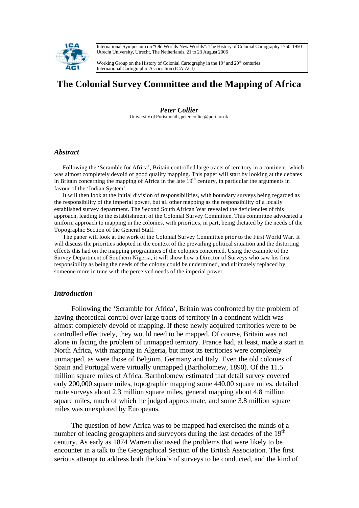International Symposium on "Old Worlds-New Worlds": The History of Colonial Cartography 1750-1950 Utrecht University, Utrecht, The Netherlands, 21 to 23 August 2006



Working Group on the History of Colonial Cartography in the  $19<sup>th</sup>$  and  $20<sup>th</sup>$  centuries International Cartographic Association (ICA-ACI)

# **The Colonial Survey Committee and the Mapping of Africa**

*Peter Collier*  University of Portsmouth, peter.collier@port.ac.uk

### *Abstract*

Following the 'Scramble for Africa', Britain controlled large tracts of territory in a continent, which was almost completely devoid of good quality mapping. This paper will start by looking at the debates in Britain concerning the mapping of Africa in the late 19<sup>th</sup> century, in particular the arguments in favour of the 'Indian System'.

It will then look at the initial division of responsibilities, with boundary surveys being regarded as the responsibility of the imperial power, but all other mapping as the responsibility of a locally established survey department. The Second South African War revealed the deficiencies of this approach, leading to the establishment of the Colonial Survey Committee. This committee advocated a uniform approach to mapping in the colonies, with priorities, in part, being dictated by the needs of the Topographic Section of the General Staff.

The paper will look at the work of the Colonial Survey Committee prior to the First World War. It will discuss the priorities adopted in the context of the prevailing political situation and the distorting effects this had on the mapping programmes of the colonies concerned. Using the example of the Survey Department of Southern Nigeria, it will show how a Director of Surveys who saw his first responsibility as being the needs of the colony could be undermined, and ultimately replaced by someone more in tune with the perceived needs of the imperial power.

# *Introduction*

Following the 'Scramble for Africa', Britain was confronted by the problem of having theoretical control over large tracts of territory in a continent which was almost completely devoid of mapping. If these newly acquired territories were to be controlled effectively, they would need to be mapped. Of course, Britain was not alone in facing the problem of unmapped territory. France had, at least, made a start in North Africa, with mapping in Algeria, but most its territories were completely unmapped, as were those of Belgium, Germany and Italy. Even the old colonies of Spain and Portugal were virtually unmapped (Bartholomew, 1890). Of the 11.5 million square miles of Africa, Bartholomew estimated that detail survey covered only 200,000 square miles, topographic mapping some 440,00 square miles, detailed route surveys about 2.3 million square miles, general mapping about 4.8 million square miles, much of which he judged approximate, and some 3.8 million square miles was unexplored by Europeans.

The question of how Africa was to be mapped had exercised the minds of a number of leading geographers and surveyors during the last decades of the 19<sup>th</sup> century. As early as 1874 Warren discussed the problems that were likely to be encounter in a talk to the Geographical Section of the British Association. The first serious attempt to address both the kinds of surveys to be conducted, and the kind of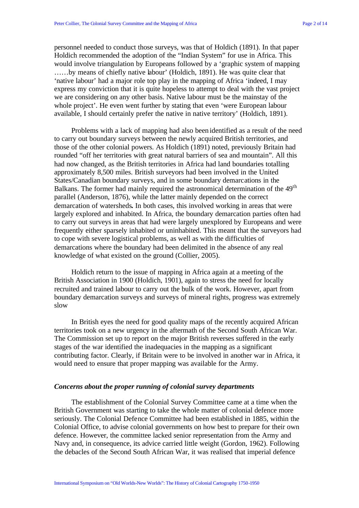personnel needed to conduct those surveys, was that of Holdich (1891). In that paper Holdich recommended the adoption of the "Indian System" for use in Africa. This would involve triangulation by Europeans followed by a 'graphic system of mapping ……by means of chiefly native labour' (Holdich, 1891). He was quite clear that 'native labour' had a major role top play in the mapping of Africa 'indeed, I may express my conviction that it is quite hopeless to attempt to deal with the vast project we are considering on any other basis. Native labour must be the mainstay of the whole project'. He even went further by stating that even 'were European labour available, I should certainly prefer the native in native territory' (Holdich, 1891).

Problems with a lack of mapping had also been identified as a result of the need to carry out boundary surveys between the newly acquired British territories, and those of the other colonial powers. As Holdich (1891) noted, previously Britain had rounded "off her territories with great natural barriers of sea and mountain". All this had now changed, as the British territories in Africa had land boundaries totalling approximately 8,500 miles. British surveyors had been involved in the United States/Canadian boundary surveys, and in some boundary demarcations in the Balkans. The former had mainly required the astronomical determination of the 49<sup>th</sup> parallel (Anderson, 1876), while the latter mainly depended on the correct demarcation of watersheds**.** In both cases, this involved working in areas that were largely explored and inhabited. In Africa, the boundary demarcation parties often had to carry out surveys in areas that had were largely unexplored by Europeans and were frequently either sparsely inhabited or uninhabited. This meant that the surveyors had to cope with severe logistical problems, as well as with the difficulties of demarcations where the boundary had been delimited in the absence of any real knowledge of what existed on the ground (Collier, 2005).

Holdich return to the issue of mapping in Africa again at a meeting of the British Association in 1900 (Holdich, 1901), again to stress the need for locally recruited and trained labour to carry out the bulk of the work. However, apart from boundary demarcation surveys and surveys of mineral rights, progress was extremely slow

In British eyes the need for good quality maps of the recently acquired African territories took on a new urgency in the aftermath of the Second South African War. The Commission set up to report on the major British reverses suffered in the early stages of the war identified the inadequacies in the mapping as a significant contributing factor. Clearly, if Britain were to be involved in another war in Africa, it would need to ensure that proper mapping was available for the Army.

## *Concerns about the proper running of colonial survey departments*

The establishment of the Colonial Survey Committee came at a time when the British Government was starting to take the whole matter of colonial defence more seriously. The Colonial Defence Committee had been established in 1885, within the Colonial Office, to advise colonial governments on how best to prepare for their own defence. However, the committee lacked senior representation from the Army and Navy and, in consequence, its advice carried little weight (Gordon, 1962). Following the debacles of the Second South African War, it was realised that imperial defence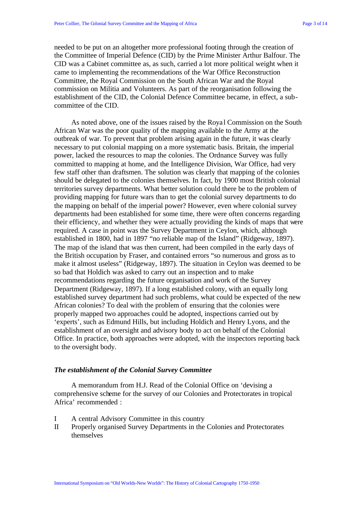needed to be put on an altogether more professional footing through the creation of the Committee of Imperial Defence (CID) by the Prime Minister Arthur Balfour. The CID was a Cabinet committee as, as such, carried a lot more political weight when it came to implementing the recommendations of the War Office Reconstruction Committee, the Royal Commission on the South African War and the Royal commission on Militia and Volunteers. As part of the reorganisation following the establishment of the CID, the Colonial Defence Committee became, in effect, a subcommittee of the CID.

As noted above, one of the issues raised by the Roya l Commission on the South African War was the poor quality of the mapping available to the Army at the outbreak of war. To prevent that problem arising again in the future, it was clearly necessary to put colonial mapping on a more systematic basis. Britain, the imperial power, lacked the resources to map the colonies. The Ordnance Survey was fully committed to mapping at home, and the Intelligence Division, War Office, had very few staff other than draftsmen. The solution was clearly that mapping of the colonies should be delegated to the colonies themselves. In fact, by 1900 most British colonial territories survey departments. What better solution could there be to the problem of providing mapping for future wars than to get the colonial survey departments to do the mapping on behalf of the imperial power? However, even where colonial survey departments had been established for some time, there were often concerns regarding their efficiency, and whether they were actually providing the kinds of maps that were required. A case in point was the Survey Department in Ceylon, which, although established in 1800, had in 1897 "no reliable map of the Island" (Ridgeway, 1897). The map of the island that was then current, had been compiled in the early days of the British occupation by Fraser, and contained errors "so numerous and gross as to make it almost useless" (Ridgeway, 1897). The situation in Ceylon was deemed to be so bad that Holdich was asked to carry out an inspection and to make recommendations regarding the future organisation and work of the Survey Department (Ridgeway, 1897). If a long established colony, with an equally long established survey department had such problems, what could be expected of the new African colonies? To deal with the problem of ensuring that the colonies were properly mapped two approaches could be adopted, inspections carried out by 'experts', such as Edmund Hills, but including Holdich and Henry Lyons, and the establishment of an oversight and advisory body to act on behalf of the Colonial Office. In practice, both approaches were adopted, with the inspectors reporting back to the oversight body.

#### *The establishment of the Colonial Survey Committee*

A memorandum from H.J. Read of the Colonial Office on 'devising a comprehensive scheme for the survey of our Colonies and Protectorates in tropical Africa' recommended :

- I A central Advisory Committee in this country
- II Properly organised Survey Departments in the Colonies and Protectorates themselves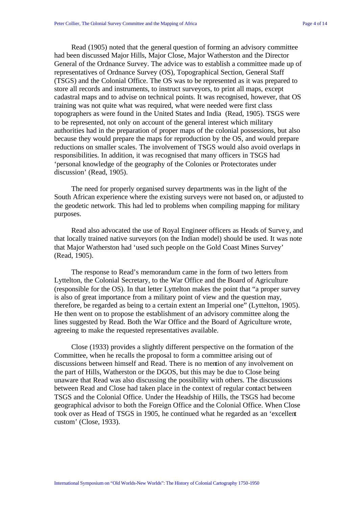Read (1905) noted that the general question of forming an advisory committee had been discussed Major Hills, Major Close, Major Watherston and the Director General of the Ordnance Survey. The advice was to establish a committee made up of representatives of Ordnance Survey (OS), Topographical Section, General Staff (TSGS) and the Colonial Office. The OS was to be represented as it was prepared to store all records and instruments, to instruct surveyors, to print all maps, except cadastral maps and to advise on technical points. It was recognised, however, that OS training was not quite what was required, what were needed were first class topographers as were found in the United States and India (Read, 1905). TSGS were to be represented, not only on account of the general interest which military authorities had in the preparation of proper maps of the colonial possessions, but also because they would prepare the maps for reproduction by the OS, and would prepare reductions on smaller scales. The involvement of TSGS would also avoid overlaps in responsibilities. In addition, it was recognised that many officers in TSGS had 'personal knowledge of the geography of the Colonies or Protectorates under discussion' (Read, 1905).

The need for properly organised survey departments was in the light of the South African experience where the existing surveys were not based on, or adjusted to the geodetic network. This had led to problems when compiling mapping for military purposes.

Read also advocated the use of Royal Engineer officers as Heads of Survey, and that locally trained native surveyors (on the Indian model) should be used. It was note that Major Watherston had 'used such people on the Gold Coast Mines Survey' (Read, 1905).

The response to Read's memorandum came in the form of two letters from Lyttelton, the Colonial Secretary, to the War Office and the Board of Agriculture (responsible for the OS). In that letter Lyttelton makes the point that "a proper survey is also of great importance from a military point of view and the question may, therefore, be regarded as being to a certain extent an Imperial one" (Lyttelton, 1905). He then went on to propose the establishment of an advisory committee along the lines suggested by Read. Both the War Office and the Board of Agriculture wrote, agreeing to make the requested representatives available.

Close (1933) provides a slightly different perspective on the formation of the Committee, when he recalls the proposal to form a committee arising out of discussions between himself and Read. There is no mention of any involvement on the part of Hills, Watherston or the DGOS, but this may be due to Close being unaware that Read was also discussing the possibility with others. The discussions between Read and Close had taken place in the context of regular contact between TSGS and the Colonial Office. Under the Headship of Hills, the TSGS had become geographical advisor to both the Foreign Office and the Colonial Office. When Close took over as Head of TSGS in 1905, he continued what he regarded as an 'excellent custom' (Close, 1933).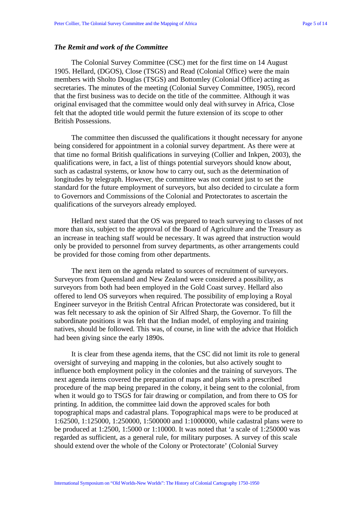#### *The Remit and work of the Committee*

The Colonial Survey Committee (CSC) met for the first time on 14 August 1905. Hellard, (DGOS), Close (TSGS) and Read (Colonial Office) were the main members with Sholto Douglas (TSGS) and Bottomley (Colonial Office) acting as secretaries. The minutes of the meeting (Colonial Survey Committee, 1905), record that the first business was to decide on the title of the committee. Although it was original envisaged that the committee would only deal with survey in Africa, Close felt that the adopted title would permit the future extension of its scope to other British Possessions.

The committee then discussed the qualifications it thought necessary for anyone being considered for appointment in a colonial survey department. As there were at that time no formal British qualifications in surveying (Collier and Inkpen, 2003), the qualifications were, in fact, a list of things potential surveyors should know about, such as cadastral systems, or know how to carry out, such as the determination of longitudes by telegraph. However, the committee was not content just to set the standard for the future employment of surveyors, but also decided to circulate a form to Governors and Commissions of the Colonial and Protectorates to ascertain the qualifications of the surveyors already employed.

Hellard next stated that the OS was prepared to teach surveying to classes of not more than six, subject to the approval of the Board of Agriculture and the Treasury as an increase in teaching staff would be necessary. It was agreed that instruction would only be provided to personnel from survey departments, as other arrangements could be provided for those coming from other departments.

The next item on the agenda related to sources of recruitment of surveyors. Surveyors from Queensland and New Zealand were considered a possibility, as surveyors from both had been employed in the Gold Coast survey. Hellard also offered to lend OS surveyors when required. The possibility of employing a Royal Engineer surveyor in the British Central African Protectorate was considered, but it was felt necessary to ask the opinion of Sir Alfred Sharp, the Governor. To fill the subordinate positions it was felt that the Indian model, of employing and training natives, should be followed. This was, of course, in line with the advice that Holdich had been giving since the early 1890s.

It is clear from these agenda items, that the CSC did not limit its role to general oversight of surveying and mapping in the colonies, but also actively sought to influence both employment policy in the colonies and the training of surveyors. The next agenda items covered the preparation of maps and plans with a prescribed procedure of the map being prepared in the colony, it being sent to the colonial, from when it would go to TSGS for fair drawing or compilation, and from there to OS for printing. In addition, the committee laid down the approved scales for both topographical maps and cadastral plans. Topographical maps were to be produced at 1:62500, 1:125000, 1:250000, 1:500000 and 1:1000000, while cadastral plans were to be produced at 1:2500, 1:5000 or 1:10000. It was noted that 'a scale of 1:250000 was regarded as sufficient, as a general rule, for military purposes. A survey of this scale should extend over the whole of the Colony or Protectorate' (Colonial Survey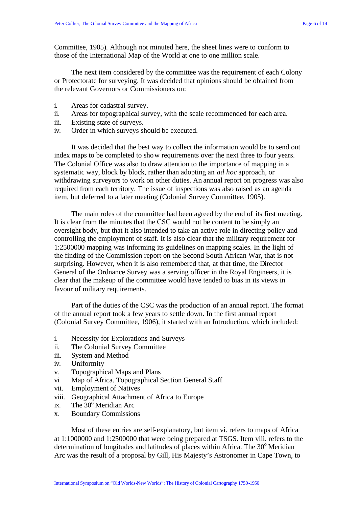Committee, 1905). Although not minuted here, the sheet lines were to conform to those of the International Map of the World at one to one million scale.

The next item considered by the committee was the requirement of each Colony or Protectorate for surveying. It was decided that opinions should be obtained from the relevant Governors or Commissioners on:

- i. Areas for cadastral survey.
- ii. Areas for topographical survey, with the scale recommended for each area.
- iii. Existing state of surveys.
- iv. Order in which surveys should be executed.

It was decided that the best way to collect the information would be to send out index maps to be completed to show requirements over the next three to four years. The Colonial Office was also to draw attention to the importance of mapping in a systematic way, block by block, rather than adopting an *ad hoc* approach, or withdrawing surveyors to work on other duties. An annual report on progress was also required from each territory. The issue of inspections was also raised as an agenda item, but deferred to a later meeting (Colonial Survey Committee, 1905).

The main roles of the committee had been agreed by the end of its first meeting. It is clear from the minutes that the CSC would not be content to be simply an oversight body, but that it also intended to take an active role in directing policy and controlling the employment of staff. It is also clear that the military requirement for 1:2500000 mapping was informing its guidelines on mapping scales. In the light of the finding of the Commission report on the Second South African War, that is not surprising. However, when it is also remembered that, at that time, the Director General of the Ordnance Survey was a serving officer in the Royal Engineers, it is clear that the makeup of the committee would have tended to bias in its views in favour of military requirements.

Part of the duties of the CSC was the production of an annual report. The format of the annual report took a few years to settle down. In the first annual report (Colonial Survey Committee, 1906), it started with an Introduction, which included:

- i. Necessity for Explorations and Surveys
- ii. The Colonial Survey Committee
- iii. System and Method
- iv. Uniformity
- v. Topographical Maps and Plans
- vi. Map of Africa. Topographical Section General Staff
- vii. Employment of Natives
- viii. Geographical Attachment of Africa to Europe
- ix. The  $30^{\circ}$  Meridian Arc
- x. Boundary Commissions

Most of these entries are self-explanatory, but item vi. refers to maps of Africa at 1:1000000 and 1:2500000 that were being prepared at TSGS. Item viii. refers to the determination of longitudes and latitudes of places within Africa. The  $30^{\circ}$  Meridian Arc was the result of a proposal by Gill, His Majesty's Astronomer in Cape Town, to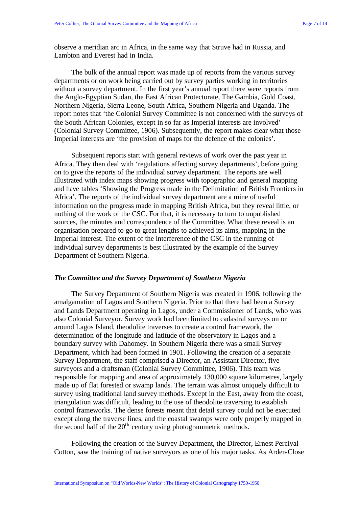observe a meridian arc in Africa, in the same way that Struve had in Russia, and Lambton and Everest had in India.

The bulk of the annual report was made up of reports from the various survey departments or on work being carried out by survey parties working in territories without a survey department. In the first year's annual report there were reports from the Anglo-Egyptian Sudan, the East African Protectorate, The Gambia, Gold Coast, Northern Nigeria, Sierra Leone, South Africa, Southern Nigeria and Uganda. The report notes that 'the Colonial Survey Committee is not concerned with the surveys of the South African Colonies, except in so far as Imperial interests are involved' (Colonial Survey Committee, 1906). Subsequently, the report makes clear what those Imperial interests are 'the provision of maps for the defence of the colonies'.

Subsequent reports start with general reviews of work over the past year in Africa. They then deal with 'regulations affecting survey departments', before going on to give the reports of the individual survey department. The reports are well illustrated with index maps showing progress with topographic and general mapping and have tables 'Showing the Progress made in the Delimitation of British Frontiers in Africa'. The reports of the individual survey department are a mine of useful information on the progress made in mapping British Africa, but they reveal little, or nothing of the work of the CSC. For that, it is necessary to turn to unpublished sources, the minutes and correspondence of the Committee. What these reveal is an organisation prepared to go to great lengths to achieved its aims, mapping in the Imperial interest. The extent of the interference of the CSC in the running of individual survey departments is best illustrated by the example of the Survey Department of Southern Nigeria.

### *The Committee and the Survey Department of Southern Nigeria*

The Survey Department of Southern Nigeria was created in 1906, following the amalgamation of Lagos and Southern Nigeria. Prior to that there had been a Survey and Lands Department operating in Lagos, under a Commissioner of Lands, who was also Colonial Surveyor. Survey work had been limited to cadastral surveys on or around Lagos Island, theodolite traverses to create a control framework, the determination of the longitude and latitude of the observatory in Lagos and a boundary survey with Dahomey. In Southern Nigeria there was a small Survey Department, which had been formed in 1901. Following the creation of a separate Survey Department, the staff comprised a Director, an Assistant Director, five surveyors and a draftsman (Colonial Survey Committee, 1906). This team was responsible for mapping and area of approximately 130,000 square kilometres, largely made up of flat forested or swamp lands. The terrain was almost uniquely difficult to survey using traditional land survey methods. Except in the East, away from the coast, triangulation was difficult, leading to the use of theodolite traversing to establish control frameworks. The dense forests meant that detail survey could not be executed except along the traverse lines, and the coastal swamps were only properly mapped in the second half of the  $20<sup>th</sup>$  century using photogrammetric methods.

Following the creation of the Survey Department, the Director, Ernest Percival Cotton, saw the training of native surveyors as one of his major tasks. As Arden-Close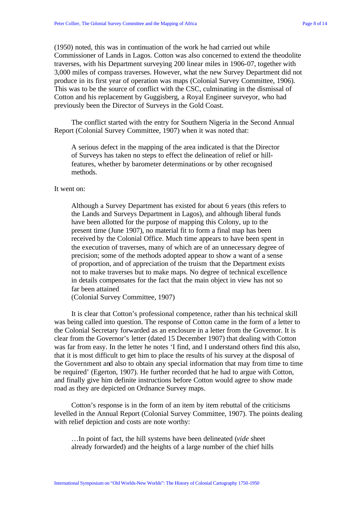(1950) noted, this was in continuation of the work he had carried out while Commissioner of Lands in Lagos. Cotton was also concerned to extend the theodolite traverses, with his Department surveying 200 linear miles in 1906-07, together with 3,000 miles of compass traverses. However, what the new Survey Department did not produce in its first year of operation was maps (Colonial Survey Committee, 1906). This was to be the source of conflict with the CSC, culminating in the dismissal of Cotton and his replacement by Guggisberg, a Royal Engineer surveyor, who had previously been the Director of Surveys in the Gold Coast.

The conflict started with the entry for Southern Nigeria in the Second Annual Report (Colonial Survey Committee, 1907) when it was noted that:

A serious defect in the mapping of the area indicated is that the Director of Surveys has taken no steps to effect the delineation of relief or hillfeatures, whether by barometer determinations or by other recognised methods.

## It went on:

Although a Survey Department has existed for about 6 years (this refers to the Lands and Surveys Department in Lagos), and although liberal funds have been allotted for the purpose of mapping this Colony, up to the present time (June 1907), no material fit to form a final map has been received by the Colonial Office. Much time appears to have been spent in the execution of traverses, many of which are of an unnecessary degree of precision; some of the methods adopted appear to show a want of a sense of proportion, and of appreciation of the truism that the Department exists not to make traverses but to make maps. No degree of technical excellence in details compensates for the fact that the main object in view has not so far been attained

(Colonial Survey Committee, 1907)

It is clear that Cotton's professional competence, rather than his technical skill was being called into question. The response of Cotton came in the form of a letter to the Colonial Secretary forwarded as an enclosure in a letter from the Governor. It is clear from the Governor's letter (dated 15 December 1907) that dealing with Cotton was far from easy. In the letter he notes 'I find, and I understand others find this also, that it is most difficult to get him to place the results of his survey at the disposal of the Government and also to obtain any special information that may from time to time be required' (Egerton, 1907). He further recorded that he had to argue with Cotton, and finally give him definite instructions before Cotton would agree to show made road as they are depicted on Ordnance Survey maps.

Cotton's response is in the form of an item by item rebuttal of the criticisms levelled in the Annual Report (Colonial Survey Committee, 1907). The points dealing with relief depiction and costs are note worthy:

…In point of fact, the hill systems have been delineated (*vide* sheet already forwarded) and the heights of a large number of the chief hills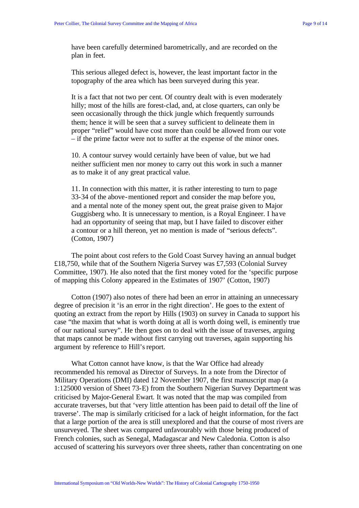have been carefully determined barometrically, and are recorded on the plan in feet.

This serious alleged defect is, however, the least important factor in the topography of the area which has been surveyed during this year.

It is a fact that not two per cent. Of country dealt with is even moderately hilly; most of the hills are forest-clad, and, at close quarters, can only be seen occasionally through the thick jungle which frequently surrounds them; hence it will be seen that a survey sufficient to delineate them in proper "relief" would have cost more than could be allowed from our vote – if the prime factor were not to suffer at the expense of the minor ones.

10. A contour survey would certainly have been of value, but we had neither sufficient men nor money to carry out this work in such a manner as to make it of any great practical value.

11. In connection with this matter, it is rather interesting to turn to page 33-34 of the above-mentioned report and consider the map before you, and a mental note of the money spent out, the great praise given to Major Guggisberg who. It is unnecessary to mention, is a Royal Engineer. I have had an opportunity of seeing that map, but I have failed to discover either a contour or a hill thereon, yet no mention is made of "serious defects". (Cotton, 1907)

The point about cost refers to the Gold Coast Survey having an annual budget £18,750, while that of the Southern Nigeria Survey was £7,593 (Colonial Survey Committee, 1907). He also noted that the first money voted for the 'specific purpose of mapping this Colony appeared in the Estimates of 1907' (Cotton, 1907)

Cotton (1907) also notes of there had been an error in attaining an unnecessary degree of precision it 'is an error in the right direction'. He goes to the extent of quoting an extract from the report by Hills (1903) on survey in Canada to support his case "the maxim that what is worth doing at all is worth doing well, is eminently true of our national survey". He then goes on to deal with the issue of traverses, arguing that maps cannot be made without first carrying out traverses, again supporting his argument by reference to Hill's report.

What Cotton cannot have know, is that the War Office had already recommended his removal as Director of Surveys. In a note from the Director of Military Operations (DMI) dated 12 November 1907, the first manuscript map (a 1:125000 version of Sheet 73-E) from the Southern Nigerian Survey Department was criticised by Major-General Ewart. It was noted that the map was compiled from accurate traverses, but that 'very little attention has been paid to detail off the line of traverse'. The map is similarly criticised for a lack of height information, for the fact that a large portion of the area is still unexplored and that the course of most rivers are unsurveyed. The sheet was compared unfavourably with those being produced of French colonies, such as Senegal, Madagascar and New Caledonia. Cotton is also accused of scattering his surveyors over three sheets, rather than concentrating on one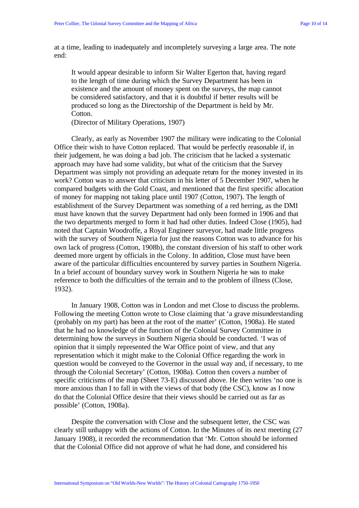at a time, leading to inadequately and incompletely surveying a large area. The note end:

It would appear desirable to inform Sir Walter Egerton that, having regard to the length of time during which the Survey Department has been in existence and the amount of money spent on the surveys, the map cannot be considered satisfactory, and that it is doubtful if better results will be produced so long as the Directorship of the Department is held by Mr. Cotton.

(Director of Military Operations, 1907)

Clearly, as early as November 1907 the military were indicating to the Colonial Office their wish to have Cotton replaced. That would be perfectly reasonable if, in their judgement, he was doing a bad job. The criticism that he lacked a systematic approach may have had some validity, but what of the criticism that the Survey Department was simply not providing an adequate return for the money invested in its work? Cotton was to answer that criticism in his letter of 5 December 1907, when he compared budgets with the Gold Coast, and mentioned that the first specific allocation of money for mapping not taking place until 1907 (Cotton, 1907). The length of establishment of the Survey Department was something of a red herring, as the DMI must have known that the survey Department had only been formed in 1906 and that the two departments merged to form it had had other duties. Indeed Close (1905), had noted that Captain Woodroffe, a Royal Engineer surveyor, had made little progress with the survey of Southern Nigeria for just the reasons Cotton was to advance for his own lack of progress (Cotton, 1908b), the constant diversion of his staff to other work deemed more urgent by officials in the Colony. In addition, Close must have been aware of the particular difficulties encountered by survey parties in Southern Nigeria. In a brief account of boundary survey work in Southern Nigeria he was to make reference to both the difficulties of the terrain and to the problem of illness (Close, 1932).

In January 1908, Cotton was in London and met Close to discuss the problems. Following the meeting Cotton wrote to Close claiming that 'a grave misunderstanding (probably on my part) has been at the root of the matter' (Cotton, 1908a). He stated that he had no knowledge of the function of the Colonial Survey Committee in determining how the surveys in Southern Nigeria should be conducted. 'I was of opinion that it simply represented the War Office point of view, and that any representation which it might make to the Colonial Office regarding the work in question would be conveyed to the Governor in the usual way and, if necessary, to me through the Colonial Secretary' (Cotton, 1908a). Cotton then covers a number of specific criticisms of the map (Sheet 73-E) discussed above. He then writes 'no one is more anxious than I to fall in with the views of that body (the CSC), know as I now do that the Colonial Office desire that their views should be carried out as far as possible' (Cotton, 1908a).

Despite the conversation with Close and the subsequent letter, the CSC was clearly still unhappy with the actions of Cotton. In the Minutes of its next meeting (27 January 1908), it recorded the recommendation that 'Mr. Cotton should be informed that the Colonial Office did not approve of what he had done, and considered his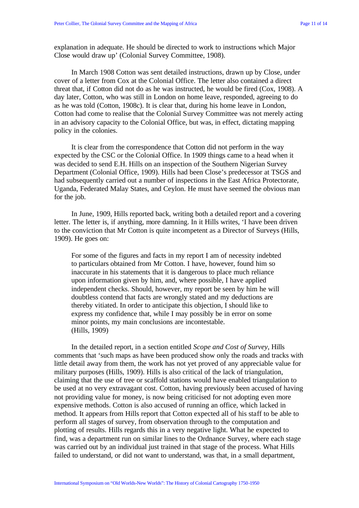explanation in adequate. He should be directed to work to instructions which Major Close would draw up' (Colonial Survey Committee, 1908).

In March 1908 Cotton was sent detailed instructions, drawn up by Close, under cover of a letter from Cox at the Colonial Office. The letter also contained a direct threat that, if Cotton did not do as he was instructed, he would be fired (Cox, 1908). A day later, Cotton, who was still in London on home leave, responded, agreeing to do as he was told (Cotton, 1908c). It is clear that, during his home leave in London, Cotton had come to realise that the Colonial Survey Committee was not merely acting in an advisory capacity to the Colonial Office, but was, in effect, dictating mapping policy in the colonies.

It is clear from the correspondence that Cotton did not perform in the way expected by the CSC or the Colonial Office. In 1909 things came to a head when it was decided to send E.H. Hills on an inspection of the Southern Nigerian Survey Department (Colonial Office, 1909). Hills had been Close's predecessor at TSGS and had subsequently carried out a number of inspections in the East Africa Protectorate, Uganda, Federated Malay States, and Ceylon. He must have seemed the obvious man for the job.

In June, 1909, Hills reported back, writing both a detailed report and a covering letter. The letter is, if anything, more damning. In it Hills writes, 'I have been driven to the conviction that Mr Cotton is quite incompetent as a Director of Surveys (Hills, 1909). He goes on:

For some of the figures and facts in my report I am of necessity indebted to particulars obtained from Mr Cotton. I have, however, found him so inaccurate in his statements that it is dangerous to place much reliance upon information given by him, and, where possible, I have applied independent checks. Should, however, my report be seen by him he will doubtless contend that facts are wrongly stated and my deductions are thereby vitiated. In order to anticipate this objection, I should like to express my confidence that, while I may possibly be in error on some minor points, my main conclusions are incontestable. (Hills, 1909)

In the detailed report, in a section entitled *Scope and Cost of Survey,* Hills comments that 'such maps as have been produced show only the roads and tracks with little detail away from them, the work has not yet proved of any appreciable value for military purposes (Hills, 1909). Hills is also critical of the lack of triangulation, claiming that the use of tree or scaffold stations would have enabled triangulation to be used at no very extravagant cost. Cotton, having previously been accused of having not providing value for money, is now being criticised for not adopting even more expensive methods. Cotton is also accused of running an office, which lacked in method. It appears from Hills report that Cotton expected all of his staff to be able to perform all stages of survey, from observation through to the computation and plotting of results. Hills regards this in a very negative light. What he expected to find, was a department run on similar lines to the Ordnance Survey, where each stage was carried out by an individual just trained in that stage of the process. What Hills failed to understand, or did not want to understand, was that, in a small department,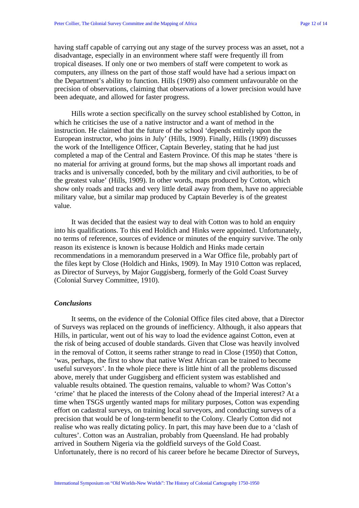having staff capable of carrying out any stage of the survey process was an asset, not a disadvantage, especially in an environment where staff were frequently ill from tropical diseases. If only one or two members of staff were competent to work as computers, any illness on the part of those staff would have had a serious impact on the Department's ability to function. Hills (1909) also comment unfavourable on the precision of observations, claiming that observations of a lower precision would have been adequate, and allowed for faster progress.

Hills wrote a section specifically on the survey school established by Cotton, in which he criticises the use of a native instructor and a want of method in the instruction. He claimed that the future of the school 'depends entirely upon the European instructor, who joins in July' (Hills, 1909). Finally, Hills (1909) discusses the work of the Intelligence Officer, Captain Beverley, stating that he had just completed a map of the Central and Eastern Province. Of this map he states 'there is no material for arriving at ground forms, but the map shows all important roads and tracks and is universally conceded, both by the military and civil authorities, to be of the greatest value' (Hills, 1909). In other words, maps produced by Cotton, which show only roads and tracks and very little detail away from them, have no appreciable military value, but a similar map produced by Captain Beverley is of the greatest value.

It was decided that the easiest way to deal with Cotton was to hold an enquiry into his qualifications. To this end Holdich and Hinks were appointed. Unfortunately, no terms of reference, sources of evidence or minutes of the enquiry survive. The only reason its existence is known is because Holdich and Hinks made certain recommendations in a memorandum preserved in a War Office file, probably part of the files kept by Close (Holdich and Hinks, 1909). In May 1910 Cotton was replaced, as Director of Surveys, by Major Guggisberg, formerly of the Gold Coast Survey (Colonial Survey Committee, 1910).

#### *Conclusions*

It seems, on the evidence of the Colonial Office files cited above, that a Director of Surveys was replaced on the grounds of inefficiency. Although, it also appears that Hills, in particular, went out of his way to load the evidence against Cotton, even at the risk of being accused of double standards. Given that Close was heavily involved in the removal of Cotton, it seems rather strange to read in Close (1950) that Cotton, 'was, perhaps, the first to show that native West African can be trained to become useful surveyors'. In the whole piece there is little hint of all the problems discussed above, merely that under Guggisberg and efficient system was established and valuable results obtained. The question remains, valuable to whom? Was Cotton's 'crime' that he placed the interests of the Colony ahead of the Imperial interest? At a time when TSGS urgently wanted maps for military purposes, Cotton was expending effort on cadastral surveys, on training local surveyors, and conducting surveys of a precision that would be of long-term benefit to the Colony. Clearly Cotton did not realise who was really dictating policy. In part, this may have been due to a 'clash of cultures'. Cotton was an Australian, probably from Queensland. He had probably arrived in Southern Nigeria via the goldfield surveys of the Gold Coast. Unfortunately, there is no record of his career before he became Director of Surveys,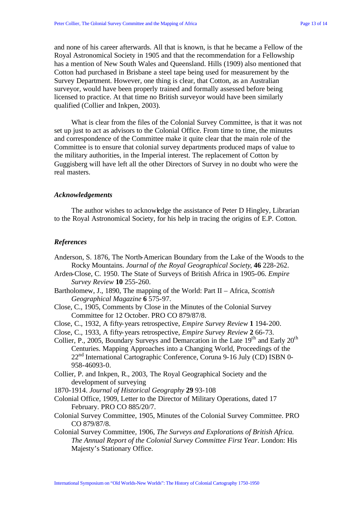and none of his career afterwards. All that is known, is that he became a Fellow of the Royal Astronomical Society in 1905 and that the recommendation for a Fellowship has a mention of New South Wales and Queensland. Hills (1909) also mentioned that Cotton had purchased in Brisbane a steel tape being used for measurement by the Survey Department. However, one thing is clear, that Cotton, as an Australian surveyor, would have been properly trained and formally assessed before being licensed to practice. At that time no British surveyor would have been similarly qualified (Collier and Inkpen, 2003).

What is clear from the files of the Colonial Survey Committee, is that it was not set up just to act as advisors to the Colonial Office. From time to time, the minutes and correspondence of the Committee make it quite clear that the main role of the Committee is to ensure that colonial survey departments produced maps of value to the military authorities, in the Imperial interest. The replacement of Cotton by Guggisberg will have left all the other Directors of Survey in no doubt who were the real masters.

## *Acknowledgements*

The author wishes to acknowledge the assistance of Peter D Hingley, Librarian to the Royal Astronomical Society, for his help in tracing the origins of E.P. Cotton.

#### *References*

- Anderson, S. 1876, The North-American Boundary from the Lake of the Woods to the Rocky Mountains. *Journal of the Royal Geographical Society*, **46** 228-262.
- Arden-Close, C. 1950. The State of Surveys of British Africa in 1905-06. *Empire Survey Review* **10** 255-260.
- Bartholomew, J., 1890, The mapping of the World: Part II Africa, *Scottish Geographical Magazine* **6** 575-97.
- Close, C., 1905, Comments by Close in the Minutes of the Colonial Survey Committee for 12 October. PRO CO 879/87/8.
- Close, C., 1932, A fifty-years retrospective, *Empire Survey Review* **1** 194-200.
- Close, C., 1933, A fifty-years retrospective, *Empire Survey Review* **2** 66-73.
- Collier, P., 2005, Boundary Surveys and Demarcation in the Late  $19<sup>th</sup>$  and Early  $20<sup>th</sup>$ Centuries. Mapping Approaches into a Changing World, Proceedings of the 22<sup>nd</sup> International Cartographic Conference, Coruna 9-16 July (CD) ISBN 0-958-46093-0.
- Collier, P. and Inkpen, R., 2003, The Royal Geographical Society and the development of surveying
- 1870-1914. *Journal of Historical Geography* **29** 93-108
- Colonial Office, 1909, Letter to the Director of Military Operations, dated 17 February. PRO CO 885/20/7.
- Colonial Survey Committee, 1905, Minutes of the Colonial Survey Committee. PRO CO 879/87/8.
- Colonial Survey Committee, 1906, *The Surveys and Explorations of British Africa. The Annual Report of the Colonial Survey Committee First Year*. London: His Majesty's Stationary Office.